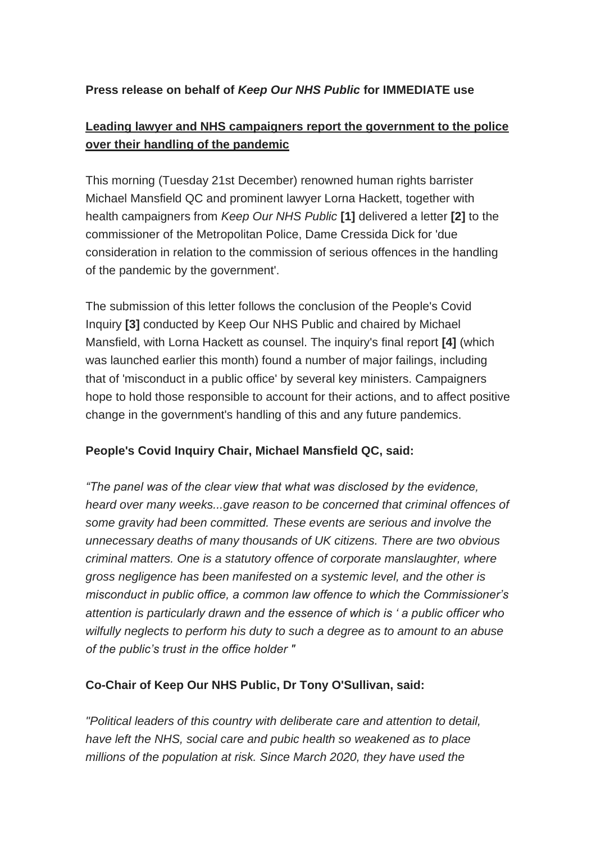### **Press release on behalf of** *Keep Our NHS Public* **for IMMEDIATE use**

# **Leading lawyer and NHS campaigners report the government to the police over their handling of the pandemic**

This morning (Tuesday 21st December) renowned human rights barrister Michael Mansfield QC and prominent lawyer Lorna Hackett, together with health campaigners from *Keep Our NHS Public* **[1]** delivered a letter **[2]** to the commissioner of the Metropolitan Police, Dame Cressida Dick for 'due consideration in relation to the commission of serious offences in the handling of the pandemic by the government'.

The submission of this letter follows the conclusion of the People's Covid Inquiry **[3]** conducted by Keep Our NHS Public and chaired by Michael Mansfield, with Lorna Hackett as counsel. The inquiry's final report **[4]** (which was launched earlier this month) found a number of major failings, including that of 'misconduct in a public office' by several key ministers. Campaigners hope to hold those responsible to account for their actions, and to affect positive change in the government's handling of this and any future pandemics.

#### **People's Covid Inquiry Chair, Michael Mansfield QC, said:**

*"The panel was of the clear view that what was disclosed by the evidence, heard over many weeks...gave reason to be concerned that criminal offences of some gravity had been committed. These events are serious and involve the unnecessary deaths of many thousands of UK citizens. There are two obvious criminal matters. One is a statutory offence of corporate manslaughter, where gross negligence has been manifested on a systemic level, and the other is misconduct in public office, a common law offence to which the Commissioner's attention is particularly drawn and the essence of which is ' a public officer who wilfully neglects to perform his duty to such a degree as to amount to an abuse of the public's trust in the office holder "*

#### **Co-Chair of Keep Our NHS Public, Dr Tony O'Sullivan, said:**

*"Political leaders of this country with deliberate care and attention to detail, have left the NHS, social care and pubic health so weakened as to place millions of the population at risk. Since March 2020, they have used the*